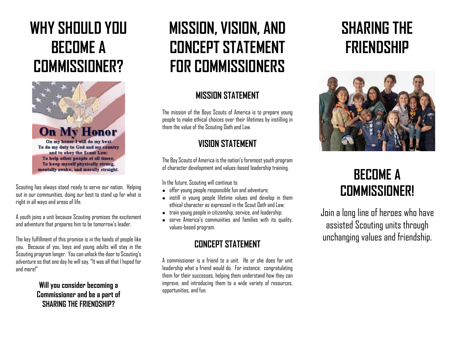# **WHY SHOULD YOU BECOME A COMMISSIONER?**



Scouting has always stood ready to serve our nation. Helping out in our communities, doing our best to stand up for what is right in all ways and areas of life.

A youth joins a unit because Scouting promises the excitement and adventure that prepares him to be tomorrow's leader.

The key fulfillment of this promise is in the hands of people like you. Because of you, boys and young adults will stay in the Scouting program longer. You can unlock the door to Scouting's adventure so that one day he will say, "It was all that I hoped for and more!"

#### **Will you consider becoming a Commissioner and be a part of SHARING THE FRIENDSHIP?**

# **MISSION, VISION, AND CONCEPT STATEMENT FOR COMMISSIONERS**

#### **MISSION STATEMENT**

The mission of the Boys Scouts of America is to prepare young people to make ethical choices over their lifetimes by instilling in them the value of the Scouting Oath and Law.

### **VISION STATEMENT**

The Boy Scouts of America is the nation's foremost youth program of character development and values-based leadership training.

In the future, Scouting will continue to

- offer young people responsible fun and adventure;
- instill in young people lifetime values and develop in them ethical character as expressed in the Scout Oath and Law;
- $\bullet$  train young people in citizenship, service, and leadership;
- serve America's communities and families with its quality, values-based program.

### **CONCEPT STATEMENT**

A commissioner is a friend to a unit. He or she does for unit leadership what a friend would do. For instance: congratulating them for their successes, helping them understand how they can improve, and introducing them to a wide variety of resources, opportunities, and fun.

# **SHARING THE FRIENDSHIP**



## **BECOME A COMMISSIONER!**

Join a long line of heroes who have assisted Scouting units through unchanging values and friendship.